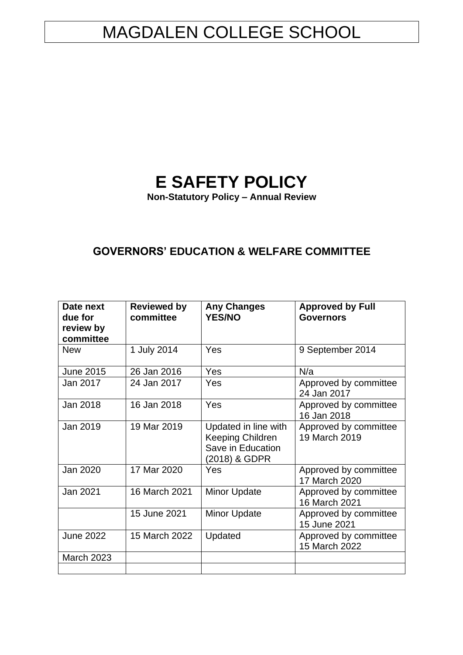# MAGDALEN COLLEGE SCHOOL

# **E SAFETY POLICY**

**Non-Statutory Policy – Annual Review**

## **GOVERNORS' EDUCATION & WELFARE COMMITTEE**

| Date next<br>due for<br>review by<br>committee | <b>Reviewed by</b><br>committee | <b>Any Changes</b><br><b>YES/NO</b>                                            | <b>Approved by Full</b><br><b>Governors</b> |
|------------------------------------------------|---------------------------------|--------------------------------------------------------------------------------|---------------------------------------------|
| <b>New</b>                                     | 1 July 2014                     | Yes                                                                            | 9 September 2014                            |
| <b>June 2015</b>                               | 26 Jan 2016                     | Yes                                                                            | N/a                                         |
| Jan 2017                                       | 24 Jan 2017                     | Yes                                                                            | Approved by committee<br>24 Jan 2017        |
| Jan 2018                                       | 16 Jan 2018                     | Yes                                                                            | Approved by committee<br>16 Jan 2018        |
| Jan 2019                                       | 19 Mar 2019                     | Updated in line with<br>Keeping Children<br>Save in Education<br>(2018) & GDPR | Approved by committee<br>19 March 2019      |
| Jan 2020                                       | 17 Mar 2020                     | Yes                                                                            | Approved by committee<br>17 March 2020      |
| Jan 2021                                       | 16 March 2021                   | <b>Minor Update</b>                                                            | Approved by committee<br>16 March 2021      |
|                                                | 15 June 2021                    | <b>Minor Update</b>                                                            | Approved by committee<br>15 June 2021       |
| <b>June 2022</b>                               | 15 March 2022                   | Updated                                                                        | Approved by committee<br>15 March 2022      |
| <b>March 2023</b>                              |                                 |                                                                                |                                             |
|                                                |                                 |                                                                                |                                             |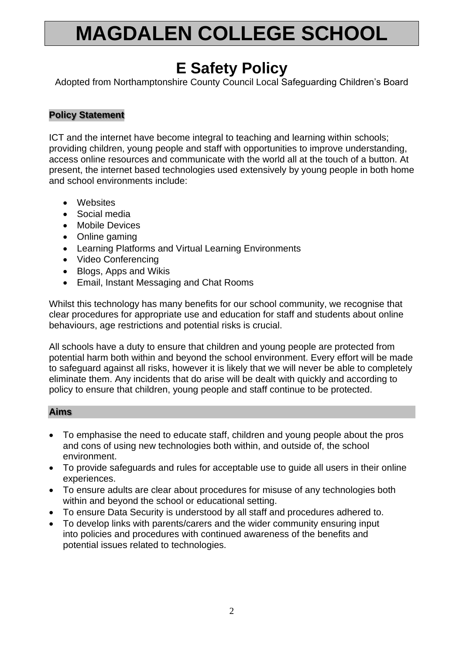# **MAGDALEN COLLEGE SCHOOL**

## **E Safety Policy**

Adopted from Northamptonshire County Council Local Safeguarding Children's Board

## **Policy Statement**

ICT and the internet have become integral to teaching and learning within schools; providing children, young people and staff with opportunities to improve understanding, access online resources and communicate with the world all at the touch of a button. At present, the internet based technologies used extensively by young people in both home and school environments include:

- Websites
- Social media
- Mobile Devices
- Online gaming
- Learning Platforms and Virtual Learning Environments
- Video Conferencing
- Blogs, Apps and Wikis
- Email, Instant Messaging and Chat Rooms

Whilst this technology has many benefits for our school community, we recognise that clear procedures for appropriate use and education for staff and students about online behaviours, age restrictions and potential risks is crucial.

All schools have a duty to ensure that children and young people are protected from potential harm both within and beyond the school environment. Every effort will be made to safeguard against all risks, however it is likely that we will never be able to completely eliminate them. Any incidents that do arise will be dealt with quickly and according to policy to ensure that children, young people and staff continue to be protected.

### **Aims**

- To emphasise the need to educate staff, children and young people about the pros and cons of using new technologies both within, and outside of, the school environment.
- To provide safeguards and rules for acceptable use to guide all users in their online experiences.
- To ensure adults are clear about procedures for misuse of any technologies both within and beyond the school or educational setting.
- To ensure Data Security is understood by all staff and procedures adhered to.
- To develop links with parents/carers and the wider community ensuring input into policies and procedures with continued awareness of the benefits and potential issues related to technologies.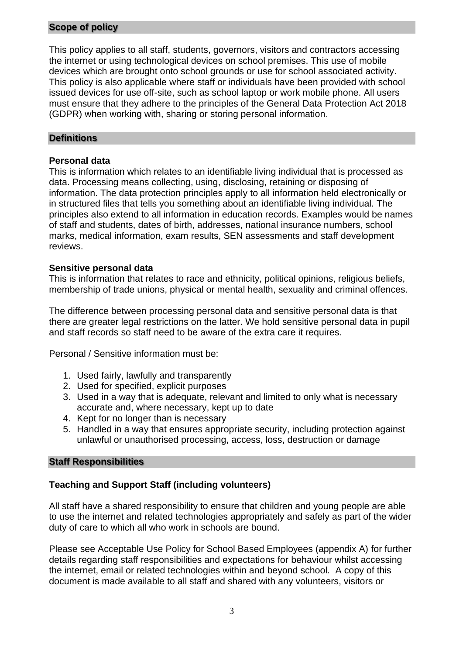## **Scope of policy**

This policy applies to all staff, students, governors, visitors and contractors accessing the internet or using technological devices on school premises. This use of mobile devices which are brought onto school grounds or use for school associated activity. This policy is also applicable where staff or individuals have been provided with school issued devices for use off-site, such as school laptop or work mobile phone. All users must ensure that they adhere to the principles of the General Data Protection Act 2018 (GDPR) when working with, sharing or storing personal information.

## **Definitions**

## **Personal data**

This is information which relates to an identifiable living individual that is processed as data. Processing means collecting, using, disclosing, retaining or disposing of information. The data protection principles apply to all information held electronically or in structured files that tells you something about an identifiable living individual. The principles also extend to all information in education records. Examples would be names of staff and students, dates of birth, addresses, national insurance numbers, school marks, medical information, exam results, SEN assessments and staff development reviews.

### **Sensitive personal data**

This is information that relates to race and ethnicity, political opinions, religious beliefs, membership of trade unions, physical or mental health, sexuality and criminal offences.

The difference between processing personal data and sensitive personal data is that there are greater legal restrictions on the latter. We hold sensitive personal data in pupil and staff records so staff need to be aware of the extra care it requires.

Personal / Sensitive information must be:

- 1. Used fairly, lawfully and transparently
- 2. Used for specified, explicit purposes
- 3. Used in a way that is adequate, relevant and limited to only what is necessary accurate and, where necessary, kept up to date
- 4. Kept for no longer than is necessary
- 5. Handled in a way that ensures appropriate security, including protection against unlawful or unauthorised processing, access, loss, destruction or damage

### **Staff Responsibilities**

## **Teaching and Support Staff (including volunteers)**

All staff have a shared responsibility to ensure that children and young people are able to use the internet and related technologies appropriately and safely as part of the wider duty of care to which all who work in schools are bound.

Please see Acceptable Use Policy for School Based Employees (appendix A) for further details regarding staff responsibilities and expectations for behaviour whilst accessing the internet, email or related technologies within and beyond school. A copy of this document is made available to all staff and shared with any volunteers, visitors or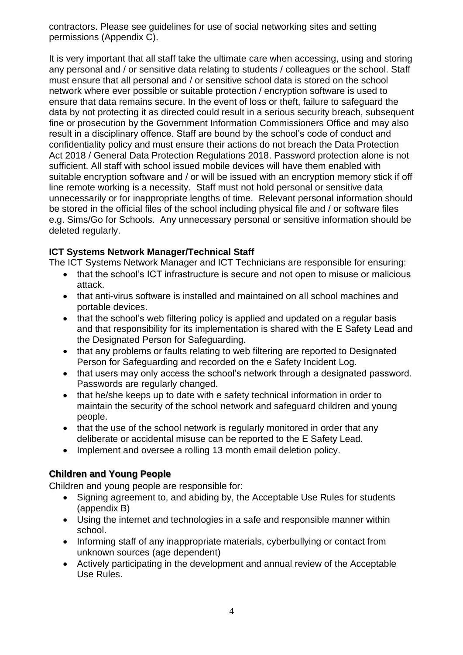contractors. Please see guidelines for use of social networking sites and setting permissions (Appendix C).

It is very important that all staff take the ultimate care when accessing, using and storing any personal and / or sensitive data relating to students / colleagues or the school. Staff must ensure that all personal and / or sensitive school data is stored on the school network where ever possible or suitable protection / encryption software is used to ensure that data remains secure. In the event of loss or theft, failure to safeguard the data by not protecting it as directed could result in a serious security breach, subsequent fine or prosecution by the Government Information Commissioners Office and may also result in a disciplinary offence. Staff are bound by the school's code of conduct and confidentiality policy and must ensure their actions do not breach the Data Protection Act 2018 / General Data Protection Regulations 2018. Password protection alone is not sufficient. All staff with school issued mobile devices will have them enabled with suitable encryption software and / or will be issued with an encryption memory stick if off line remote working is a necessity. Staff must not hold personal or sensitive data unnecessarily or for inappropriate lengths of time. Relevant personal information should be stored in the official files of the school including physical file and / or software files e.g. Sims/Go for Schools. Any unnecessary personal or sensitive information should be deleted regularly.

## **ICT Systems Network Manager/Technical Staff**

The ICT Systems Network Manager and ICT Technicians are responsible for ensuring:

- that the school's ICT infrastructure is secure and not open to misuse or malicious attack.
- that anti-virus software is installed and maintained on all school machines and portable devices.
- that the school's web filtering policy is applied and updated on a regular basis and that responsibility for its implementation is shared with the E Safety Lead and the Designated Person for Safeguarding.
- that any problems or faults relating to web filtering are reported to Designated Person for Safeguarding and recorded on the e Safety Incident Log.
- that users may only access the school's network through a designated password. Passwords are regularly changed.
- that he/she keeps up to date with e safety technical information in order to maintain the security of the school network and safeguard children and young people.
- that the use of the school network is regularly monitored in order that any deliberate or accidental misuse can be reported to the E Safety Lead.
- Implement and oversee a rolling 13 month email deletion policy.

## **Children and Young People**

Children and young people are responsible for:

- Signing agreement to, and abiding by, the Acceptable Use Rules for students (appendix B)
- Using the internet and technologies in a safe and responsible manner within school.
- Informing staff of any inappropriate materials, cyberbullying or contact from unknown sources (age dependent)
- Actively participating in the development and annual review of the Acceptable Use Rules.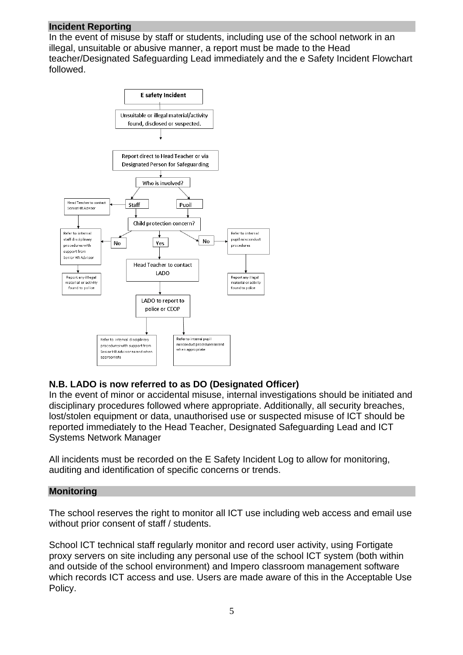### **Incident Reporting**

In the event of misuse by staff or students, including use of the school network in an illegal, unsuitable or abusive manner, a report must be made to the Head teacher/Designated Safeguarding Lead immediately and the e Safety Incident Flowchart followed.



## **N.B. LADO is now referred to as DO (Designated Officer)**

In the event of minor or accidental misuse, internal investigations should be initiated and disciplinary procedures followed where appropriate. Additionally, all security breaches, lost/stolen equipment or data, unauthorised use or suspected misuse of ICT should be reported immediately to the Head Teacher, Designated Safeguarding Lead and ICT Systems Network Manager

All incidents must be recorded on the E Safety Incident Log to allow for monitoring, auditing and identification of specific concerns or trends.

#### **Monitoring**

The school reserves the right to monitor all ICT use including web access and email use without prior consent of staff / students.

School ICT technical staff regularly monitor and record user activity, using Fortigate proxy servers on site including any personal use of the school ICT system (both within and outside of the school environment) and Impero classroom management software which records ICT access and use. Users are made aware of this in the Acceptable Use Policy.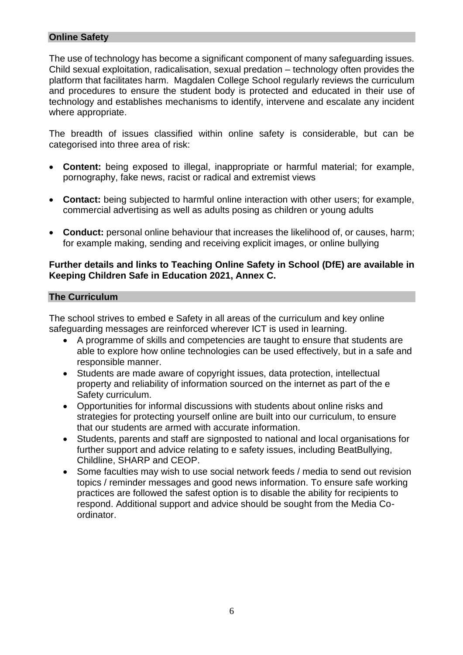## **Online Safety**

The use of technology has become a significant component of many safeguarding issues. Child sexual exploitation, radicalisation, sexual predation – technology often provides the platform that facilitates harm. Magdalen College School regularly reviews the curriculum and procedures to ensure the student body is protected and educated in their use of technology and establishes mechanisms to identify, intervene and escalate any incident where appropriate.

The breadth of issues classified within online safety is considerable, but can be categorised into three area of risk:

- **Content:** being exposed to illegal, inappropriate or harmful material; for example, pornography, fake news, racist or radical and extremist views
- **Contact:** being subjected to harmful online interaction with other users; for example, commercial advertising as well as adults posing as children or young adults
- **Conduct:** personal online behaviour that increases the likelihood of, or causes, harm; for example making, sending and receiving explicit images, or online bullying

## **Further details and links to Teaching Online Safety in School (DfE) are available in Keeping Children Safe in Education 2021, Annex C.**

### **The Curriculum**

The school strives to embed e Safety in all areas of the curriculum and key online safeguarding messages are reinforced wherever ICT is used in learning.

- A programme of skills and competencies are taught to ensure that students are able to explore how online technologies can be used effectively, but in a safe and responsible manner.
- Students are made aware of copyright issues, data protection, intellectual property and reliability of information sourced on the internet as part of the e Safety curriculum.
- Opportunities for informal discussions with students about online risks and strategies for protecting yourself online are built into our curriculum, to ensure that our students are armed with accurate information.
- Students, parents and staff are signposted to national and local organisations for further support and advice relating to e safety issues, including BeatBullying, Childline, SHARP and CEOP.
- Some faculties may wish to use social network feeds / media to send out revision topics / reminder messages and good news information. To ensure safe working practices are followed the safest option is to disable the ability for recipients to respond. Additional support and advice should be sought from the Media Coordinator.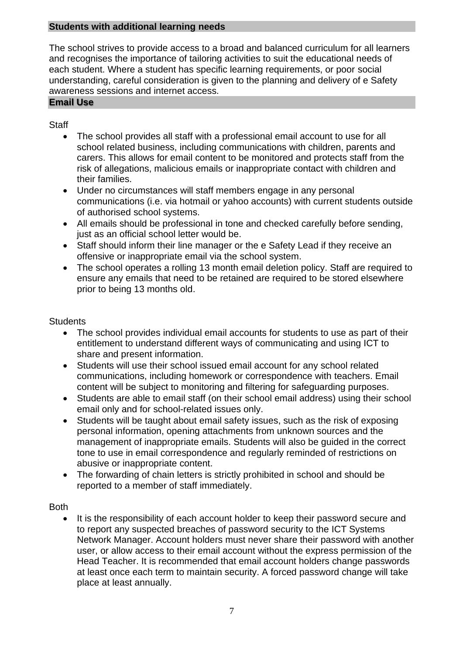## **Students with additional learning needs**

The school strives to provide access to a broad and balanced curriculum for all learners and recognises the importance of tailoring activities to suit the educational needs of each student. Where a student has specific learning requirements, or poor social understanding, careful consideration is given to the planning and delivery of e Safety awareness sessions and internet access.

## **Email Use**

## **Staff**

- The school provides all staff with a professional email account to use for all school related business, including communications with children, parents and carers. This allows for email content to be monitored and protects staff from the risk of allegations, malicious emails or inappropriate contact with children and their families.
- Under no circumstances will staff members engage in any personal communications (i.e. via hotmail or yahoo accounts) with current students outside of authorised school systems.
- All emails should be professional in tone and checked carefully before sending, just as an official school letter would be.
- Staff should inform their line manager or the e Safety Lead if they receive an offensive or inappropriate email via the school system.
- The school operates a rolling 13 month email deletion policy. Staff are required to ensure any emails that need to be retained are required to be stored elsewhere prior to being 13 months old.

## **Students**

- The school provides individual email accounts for students to use as part of their entitlement to understand different ways of communicating and using ICT to share and present information.
- Students will use their school issued email account for any school related communications, including homework or correspondence with teachers. Email content will be subject to monitoring and filtering for safeguarding purposes.
- Students are able to email staff (on their school email address) using their school email only and for school-related issues only.
- Students will be taught about email safety issues, such as the risk of exposing personal information, opening attachments from unknown sources and the management of inappropriate emails. Students will also be guided in the correct tone to use in email correspondence and regularly reminded of restrictions on abusive or inappropriate content.
- The forwarding of chain letters is strictly prohibited in school and should be reported to a member of staff immediately.

## **Both**

It is the responsibility of each account holder to keep their password secure and to report any suspected breaches of password security to the ICT Systems Network Manager. Account holders must never share their password with another user, or allow access to their email account without the express permission of the Head Teacher. It is recommended that email account holders change passwords at least once each term to maintain security. A forced password change will take place at least annually.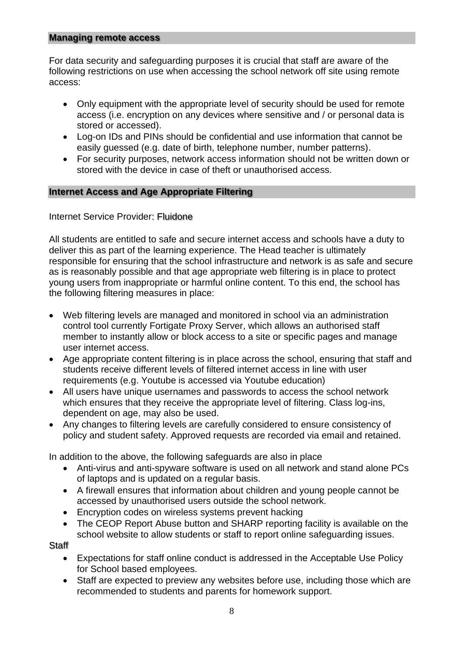## **Managing remote access**

For data security and safeguarding purposes it is crucial that staff are aware of the following restrictions on use when accessing the school network off site using remote access:

- Only equipment with the appropriate level of security should be used for remote access (i.e. encryption on any devices where sensitive and / or personal data is stored or accessed).
- Log-on IDs and PINs should be confidential and use information that cannot be easily guessed (e.g. date of birth, telephone number, number patterns).
- For security purposes, network access information should not be written down or stored with the device in case of theft or unauthorised access.

## **Internet Access and Age Appropriate Filtering**

Internet Service Provider: Fluidone

All students are entitled to safe and secure internet access and schools have a duty to deliver this as part of the learning experience. The Head teacher is ultimately responsible for ensuring that the school infrastructure and network is as safe and secure as is reasonably possible and that age appropriate web filtering is in place to protect young users from inappropriate or harmful online content. To this end, the school has the following filtering measures in place:

- Web filtering levels are managed and monitored in school via an administration control tool currently Fortigate Proxy Server, which allows an authorised staff member to instantly allow or block access to a site or specific pages and manage user internet access.
- Age appropriate content filtering is in place across the school, ensuring that staff and students receive different levels of filtered internet access in line with user requirements (e.g. Youtube is accessed via Youtube education)
- All users have unique usernames and passwords to access the school network which ensures that they receive the appropriate level of filtering. Class log-ins, dependent on age, may also be used.
- Any changes to filtering levels are carefully considered to ensure consistency of policy and student safety. Approved requests are recorded via email and retained.

In addition to the above, the following safeguards are also in place

- Anti-virus and anti-spyware software is used on all network and stand alone PCs of laptops and is updated on a regular basis.
- A firewall ensures that information about children and young people cannot be accessed by unauthorised users outside the school network.
- Encryption codes on wireless systems prevent hacking
- The CEOP Report Abuse button and SHARP reporting facility is available on the school website to allow students or staff to report online safeguarding issues.

Staff

- Expectations for staff online conduct is addressed in the Acceptable Use Policy for School based employees.
- Staff are expected to preview any websites before use, including those which are recommended to students and parents for homework support.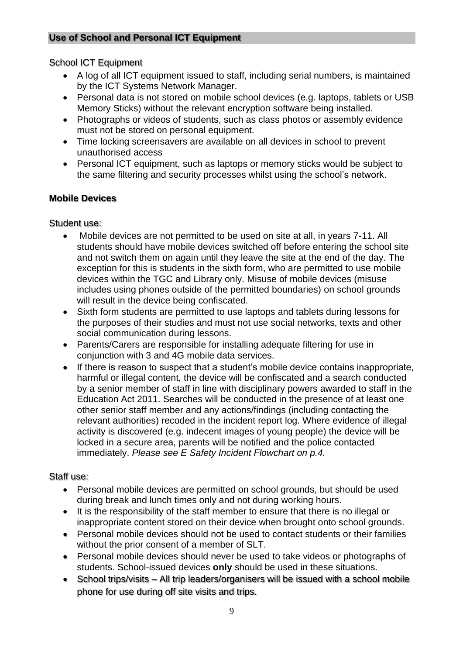## School ICT Equipment

- A log of all ICT equipment issued to staff, including serial numbers, is maintained by the ICT Systems Network Manager.
- Personal data is not stored on mobile school devices (e.g. laptops, tablets or USB Memory Sticks) without the relevant encryption software being installed.
- Photographs or videos of students, such as class photos or assembly evidence must not be stored on personal equipment.
- Time locking screensavers are available on all devices in school to prevent unauthorised access
- Personal ICT equipment, such as laptops or memory sticks would be subject to the same filtering and security processes whilst using the school's network.

## **Mobile Devices**

## Student use:

- Mobile devices are not permitted to be used on site at all, in years 7-11. All students should have mobile devices switched off before entering the school site and not switch them on again until they leave the site at the end of the day. The exception for this is students in the sixth form, who are permitted to use mobile devices within the TGC and Library only. Misuse of mobile devices (misuse includes using phones outside of the permitted boundaries) on school grounds will result in the device being confiscated.
- Sixth form students are permitted to use laptops and tablets during lessons for the purposes of their studies and must not use social networks, texts and other social communication during lessons.
- Parents/Carers are responsible for installing adequate filtering for use in conjunction with 3 and 4G mobile data services.
- If there is reason to suspect that a student's mobile device contains inappropriate, harmful or illegal content, the device will be confiscated and a search conducted by a senior member of staff in line with disciplinary powers awarded to staff in the Education Act 2011. Searches will be conducted in the presence of at least one other senior staff member and any actions/findings (including contacting the relevant authorities) recoded in the incident report log. Where evidence of illegal activity is discovered (e.g. indecent images of young people) the device will be locked in a secure area, parents will be notified and the police contacted immediately. *Please see E Safety Incident Flowchart on p.4.*

## Staff use:

- Personal mobile devices are permitted on school grounds, but should be used during break and lunch times only and not during working hours.
- It is the responsibility of the staff member to ensure that there is no illegal or inappropriate content stored on their device when brought onto school grounds.
- Personal mobile devices should not be used to contact students or their families without the prior consent of a member of SLT.
- Personal mobile devices should never be used to take videos or photographs of students. School-issued devices **only** should be used in these situations.
- School trips/visits All trip leaders/organisers will be issued with a school mobile phone for use during off site visits and trips.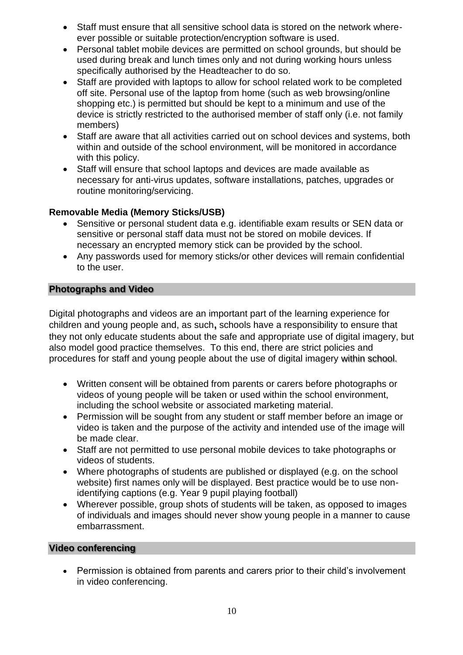- Staff must ensure that all sensitive school data is stored on the network whereever possible or suitable protection/encryption software is used.
- Personal tablet mobile devices are permitted on school grounds, but should be used during break and lunch times only and not during working hours unless specifically authorised by the Headteacher to do so.
- Staff are provided with laptops to allow for school related work to be completed off site. Personal use of the laptop from home (such as web browsing/online shopping etc.) is permitted but should be kept to a minimum and use of the device is strictly restricted to the authorised member of staff only (i.e. not family members)
- Staff are aware that all activities carried out on school devices and systems, both within and outside of the school environment, will be monitored in accordance with this policy.
- Staff will ensure that school laptops and devices are made available as necessary for anti-virus updates, software installations, patches, upgrades or routine monitoring/servicing.

## **Removable Media (Memory Sticks/USB)**

- Sensitive or personal student data e.g. identifiable exam results or SEN data or sensitive or personal staff data must not be stored on mobile devices. If necessary an encrypted memory stick can be provided by the school.
- Any passwords used for memory sticks/or other devices will remain confidential to the user.

## **Photographs and Video**

Digital photographs and videos are an important part of the learning experience for children and young people and, as such**,** schools have a responsibility to ensure that they not only educate students about the safe and appropriate use of digital imagery, but also model good practice themselves. To this end, there are strict policies and procedures for staff and young people about the use of digital imagery within school.

- Written consent will be obtained from parents or carers before photographs or videos of young people will be taken or used within the school environment, including the school website or associated marketing material.
- Permission will be sought from any student or staff member before an image or video is taken and the purpose of the activity and intended use of the image will be made clear.
- Staff are not permitted to use personal mobile devices to take photographs or videos of students.
- Where photographs of students are published or displayed (e.g. on the school website) first names only will be displayed. Best practice would be to use nonidentifying captions (e.g. Year 9 pupil playing football)
- Wherever possible, group shots of students will be taken, as opposed to images of individuals and images should never show young people in a manner to cause embarrassment.

## **Video conferencing**

• Permission is obtained from parents and carers prior to their child's involvement in video conferencing.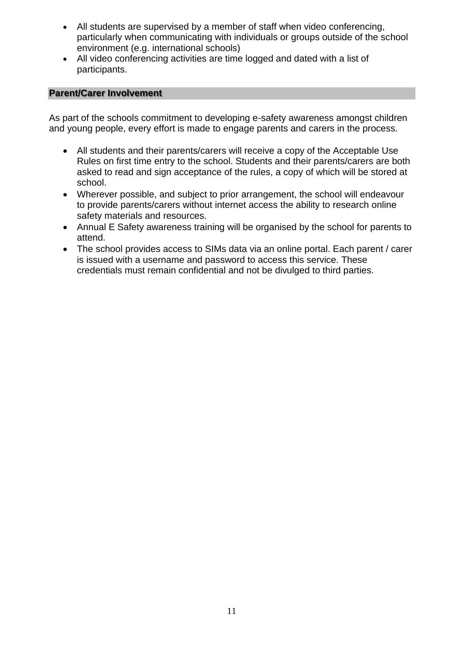- All students are supervised by a member of staff when video conferencing, particularly when communicating with individuals or groups outside of the school environment (e.g. international schools)
- All video conferencing activities are time logged and dated with a list of participants.

## **Parent/Carer Involvement**

As part of the schools commitment to developing e-safety awareness amongst children and young people, every effort is made to engage parents and carers in the process.

- All students and their parents/carers will receive a copy of the Acceptable Use Rules on first time entry to the school. Students and their parents/carers are both asked to read and sign acceptance of the rules, a copy of which will be stored at school.
- Wherever possible, and subject to prior arrangement, the school will endeavour to provide parents/carers without internet access the ability to research online safety materials and resources.
- Annual E Safety awareness training will be organised by the school for parents to attend.
- The school provides access to SIMs data via an online portal. Each parent / carer is issued with a username and password to access this service. These credentials must remain confidential and not be divulged to third parties.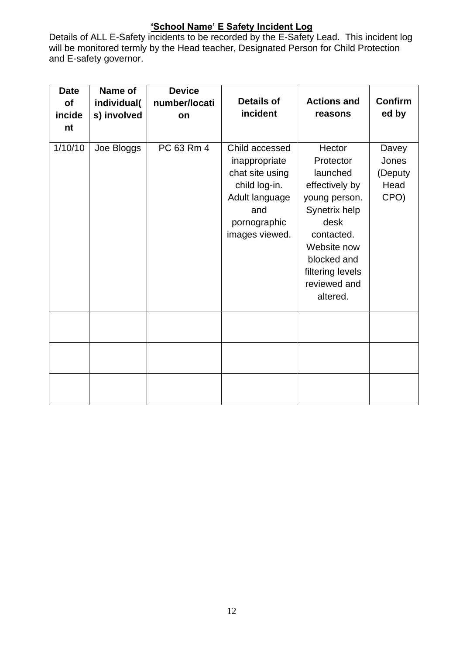## **'School Name' E Safety Incident Log**

Details of ALL E-Safety incidents to be recorded by the E-Safety Lead. This incident log will be monitored termly by the Head teacher, Designated Person for Child Protection and E-safety governor.

| <b>Date</b><br>of<br>incide<br>nt | Name of<br>individual(<br>s) involved | <b>Device</b><br>number/locati<br>on | <b>Details of</b><br>incident                                                                                                  | <b>Actions and</b><br>reasons                                                                                                                                                           | <b>Confirm</b><br>ed by                   |
|-----------------------------------|---------------------------------------|--------------------------------------|--------------------------------------------------------------------------------------------------------------------------------|-----------------------------------------------------------------------------------------------------------------------------------------------------------------------------------------|-------------------------------------------|
| 1/10/10                           | Joe Bloggs                            | PC 63 Rm 4                           | Child accessed<br>inappropriate<br>chat site using<br>child log-in.<br>Adult language<br>and<br>pornographic<br>images viewed. | Hector<br>Protector<br>launched<br>effectively by<br>young person.<br>Synetrix help<br>desk<br>contacted.<br>Website now<br>blocked and<br>filtering levels<br>reviewed and<br>altered. | Davey<br>Jones<br>(Deputy<br>Head<br>CPO) |
|                                   |                                       |                                      |                                                                                                                                |                                                                                                                                                                                         |                                           |
|                                   |                                       |                                      |                                                                                                                                |                                                                                                                                                                                         |                                           |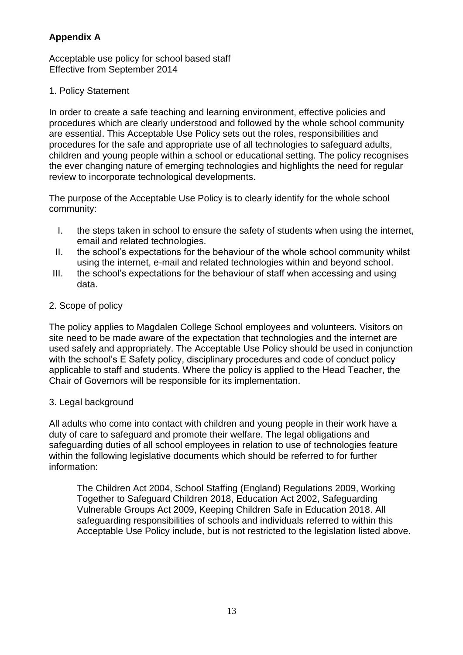## **Appendix A**

Acceptable use policy for school based staff Effective from September 2014

## 1. Policy Statement

In order to create a safe teaching and learning environment, effective policies and procedures which are clearly understood and followed by the whole school community are essential. This Acceptable Use Policy sets out the roles, responsibilities and procedures for the safe and appropriate use of all technologies to safeguard adults, children and young people within a school or educational setting. The policy recognises the ever changing nature of emerging technologies and highlights the need for regular review to incorporate technological developments.

The purpose of the Acceptable Use Policy is to clearly identify for the whole school community:

- I. the steps taken in school to ensure the safety of students when using the internet, email and related technologies.
- II. the school's expectations for the behaviour of the whole school community whilst using the internet, e-mail and related technologies within and beyond school.
- III. the school's expectations for the behaviour of staff when accessing and using data.
- 2. Scope of policy

The policy applies to Magdalen College School employees and volunteers. Visitors on site need to be made aware of the expectation that technologies and the internet are used safely and appropriately. The Acceptable Use Policy should be used in conjunction with the school's E Safety policy, disciplinary procedures and code of conduct policy applicable to staff and students. Where the policy is applied to the Head Teacher, the Chair of Governors will be responsible for its implementation.

## 3. Legal background

All adults who come into contact with children and young people in their work have a duty of care to safeguard and promote their welfare. The legal obligations and safeguarding duties of all school employees in relation to use of technologies feature within the following legislative documents which should be referred to for further information:

The Children Act 2004, School Staffing (England) Regulations 2009, Working Together to Safeguard Children 2018, Education Act 2002, Safeguarding Vulnerable Groups Act 2009, Keeping Children Safe in Education 2018. All safeguarding responsibilities of schools and individuals referred to within this Acceptable Use Policy include, but is not restricted to the legislation listed above.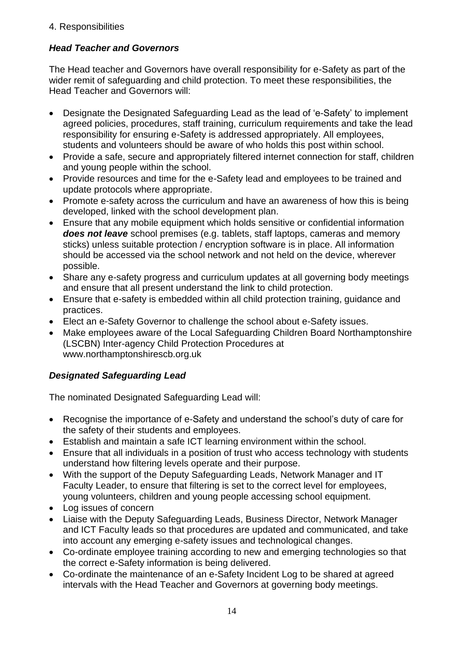## 4. Responsibilities

## *Head Teacher and Governors*

The Head teacher and Governors have overall responsibility for e-Safety as part of the wider remit of safeguarding and child protection. To meet these responsibilities, the Head Teacher and Governors will:

- Designate the Designated Safeguarding Lead as the lead of 'e-Safety' to implement agreed policies, procedures, staff training, curriculum requirements and take the lead responsibility for ensuring e-Safety is addressed appropriately. All employees, students and volunteers should be aware of who holds this post within school.
- Provide a safe, secure and appropriately filtered internet connection for staff, children and young people within the school.
- Provide resources and time for the e-Safety lead and employees to be trained and update protocols where appropriate.
- Promote e-safety across the curriculum and have an awareness of how this is being developed, linked with the school development plan.
- Ensure that any mobile equipment which holds sensitive or confidential information *does not leave* school premises (e.g. tablets, staff laptops, cameras and memory sticks) unless suitable protection / encryption software is in place. All information should be accessed via the school network and not held on the device, wherever possible.
- Share any e-safety progress and curriculum updates at all governing body meetings and ensure that all present understand the link to child protection.
- Ensure that e-safety is embedded within all child protection training, guidance and practices.
- Elect an e-Safety Governor to challenge the school about e-Safety issues.
- Make employees aware of the Local Safeguarding Children Board Northamptonshire (LSCBN) Inter-agency Child Protection Procedures at www.northamptonshirescb.org.uk

## *Designated Safeguarding Lead*

The nominated Designated Safeguarding Lead will:

- Recognise the importance of e-Safety and understand the school's duty of care for the safety of their students and employees.
- Establish and maintain a safe ICT learning environment within the school.
- Ensure that all individuals in a position of trust who access technology with students understand how filtering levels operate and their purpose.
- With the support of the Deputy Safeguarding Leads, Network Manager and IT Faculty Leader, to ensure that filtering is set to the correct level for employees, young volunteers, children and young people accessing school equipment.
- Log issues of concern
- Liaise with the Deputy Safeguarding Leads, Business Director, Network Manager and ICT Faculty leads so that procedures are updated and communicated, and take into account any emerging e-safety issues and technological changes.
- Co-ordinate employee training according to new and emerging technologies so that the correct e-Safety information is being delivered.
- Co-ordinate the maintenance of an e-Safety Incident Log to be shared at agreed intervals with the Head Teacher and Governors at governing body meetings.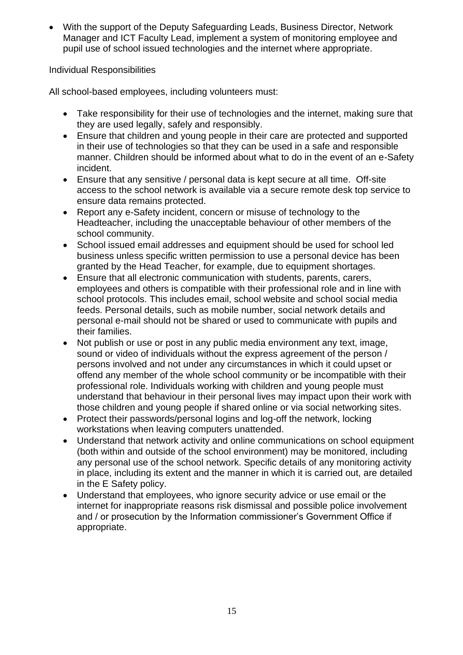• With the support of the Deputy Safeguarding Leads, Business Director, Network Manager and ICT Faculty Lead, implement a system of monitoring employee and pupil use of school issued technologies and the internet where appropriate.

## Individual Responsibilities

All school-based employees, including volunteers must:

- Take responsibility for their use of technologies and the internet, making sure that they are used legally, safely and responsibly.
- Ensure that children and young people in their care are protected and supported in their use of technologies so that they can be used in a safe and responsible manner. Children should be informed about what to do in the event of an e-Safety incident.
- Ensure that any sensitive / personal data is kept secure at all time. Off-site access to the school network is available via a secure remote desk top service to ensure data remains protected.
- Report any e-Safety incident, concern or misuse of technology to the Headteacher, including the unacceptable behaviour of other members of the school community.
- School issued email addresses and equipment should be used for school led business unless specific written permission to use a personal device has been granted by the Head Teacher, for example, due to equipment shortages.
- Ensure that all electronic communication with students, parents, carers, employees and others is compatible with their professional role and in line with school protocols. This includes email, school website and school social media feeds. Personal details, such as mobile number, social network details and personal e-mail should not be shared or used to communicate with pupils and their families.
- Not publish or use or post in any public media environment any text, image, sound or video of individuals without the express agreement of the person / persons involved and not under any circumstances in which it could upset or offend any member of the whole school community or be incompatible with their professional role. Individuals working with children and young people must understand that behaviour in their personal lives may impact upon their work with those children and young people if shared online or via social networking sites.
- Protect their passwords/personal logins and log-off the network, locking workstations when leaving computers unattended.
- Understand that network activity and online communications on school equipment (both within and outside of the school environment) may be monitored, including any personal use of the school network. Specific details of any monitoring activity in place, including its extent and the manner in which it is carried out, are detailed in the E Safety policy.
- Understand that employees, who ignore security advice or use email or the internet for inappropriate reasons risk dismissal and possible police involvement and / or prosecution by the Information commissioner's Government Office if appropriate.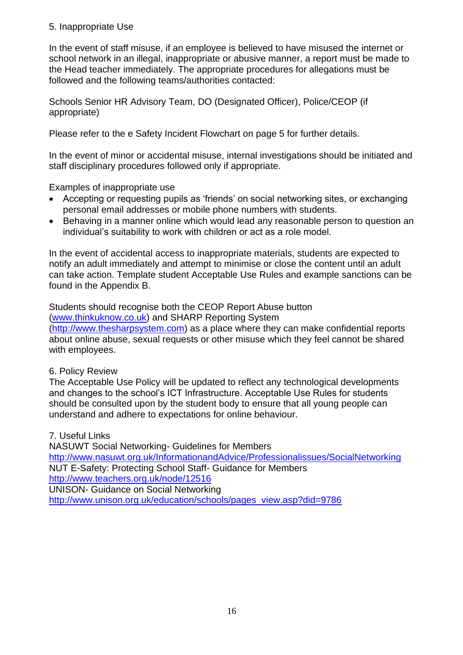## 5. Inappropriate Use

In the event of staff misuse, if an employee is believed to have misused the internet or school network in an illegal, inappropriate or abusive manner, a report must be made to the Head teacher immediately. The appropriate procedures for allegations must be followed and the following teams/authorities contacted:

Schools Senior HR Advisory Team, DO (Designated Officer), Police/CEOP (if appropriate)

Please refer to the e Safety Incident Flowchart on page 5 for further details.

In the event of minor or accidental misuse, internal investigations should be initiated and staff disciplinary procedures followed only if appropriate.

Examples of inappropriate use

- Accepting or requesting pupils as 'friends' on social networking sites, or exchanging personal email addresses or mobile phone numbers with students.
- Behaving in a manner online which would lead any reasonable person to question an individual's suitability to work with children or act as a role model.

In the event of accidental access to inappropriate materials, students are expected to notify an adult immediately and attempt to minimise or close the content until an adult can take action. Template student Acceptable Use Rules and example sanctions can be found in the Appendix B.

Students should recognise both the CEOP Report Abuse button [\(www.thinkuknow.co.uk\)](http://www.thinkuknow.co.uk/) and SHARP Reporting System [\(http://www.thesharpsystem.com\)](http://www.thesharpsystem.com/) as a place where they can make confidential reports about online abuse, sexual requests or other misuse which they feel cannot be shared with employees.

## 6. Policy Review

The Acceptable Use Policy will be updated to reflect any technological developments and changes to the school's ICT Infrastructure. Acceptable Use Rules for students should be consulted upon by the student body to ensure that all young people can understand and adhere to expectations for online behaviour.

7. Useful Links

NASUWT Social Networking- Guidelines for Members <http://www.nasuwt.org.uk/InformationandAdvice/Professionalissues/SocialNetworking> NUT E-Safety: Protecting School Staff- Guidance for Members <http://www.teachers.org.uk/node/12516> UNISON- Guidance on Social Networking [http://www.unison.org.uk/education/schools/pages\\_view.asp?did=9786](http://www.unison.org.uk/education/schools/pages_view.asp?did=9786)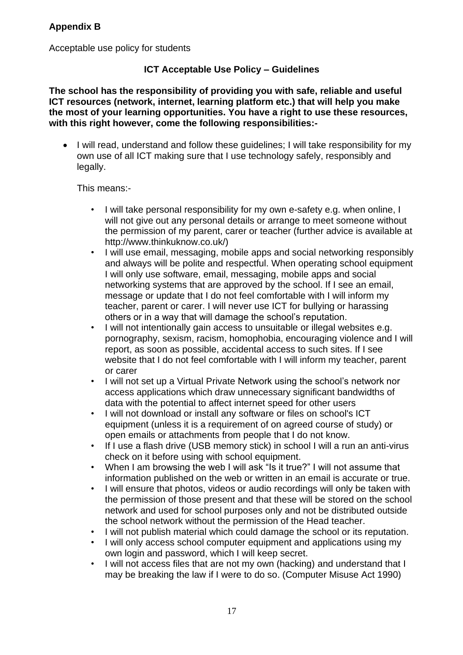Acceptable use policy for students

## **ICT Acceptable Use Policy – Guidelines**

**The school has the responsibility of providing you with safe, reliable and useful ICT resources (network, internet, learning platform etc.) that will help you make the most of your learning opportunities. You have a right to use these resources, with this right however, come the following responsibilities:-**

• I will read, understand and follow these quidelines; I will take responsibility for my own use of all ICT making sure that I use technology safely, responsibly and legally.

## This means:-

- I will take personal responsibility for my own e-safety e.g. when online, I will not give out any personal details or arrange to meet someone without the permission of my parent, carer or teacher (further advice is available at http://www.thinkuknow.co.uk/)
- I will use email, messaging, mobile apps and social networking responsibly and always will be polite and respectful. When operating school equipment I will only use software, email, messaging, mobile apps and social networking systems that are approved by the school. If I see an email, message or update that I do not feel comfortable with I will inform my teacher, parent or carer. I will never use ICT for bullying or harassing others or in a way that will damage the school's reputation.
- I will not intentionally gain access to unsuitable or illegal websites e.g. pornography, sexism, racism, homophobia, encouraging violence and I will report, as soon as possible, accidental access to such sites. If I see website that I do not feel comfortable with I will inform my teacher, parent or carer
- I will not set up a Virtual Private Network using the school's network nor access applications which draw unnecessary significant bandwidths of data with the potential to affect internet speed for other users
- I will not download or install any software or files on school's ICT equipment (unless it is a requirement of on agreed course of study) or open emails or attachments from people that I do not know.
- If I use a flash drive (USB memory stick) in school I will a run an anti-virus check on it before using with school equipment.
- When I am browsing the web I will ask "Is it true?" I will not assume that information published on the web or written in an email is accurate or true.
- I will ensure that photos, videos or audio recordings will only be taken with the permission of those present and that these will be stored on the school network and used for school purposes only and not be distributed outside the school network without the permission of the Head teacher.
- I will not publish material which could damage the school or its reputation.
- I will only access school computer equipment and applications using my own login and password, which I will keep secret.
- I will not access files that are not my own (hacking) and understand that I may be breaking the law if I were to do so. (Computer Misuse Act 1990)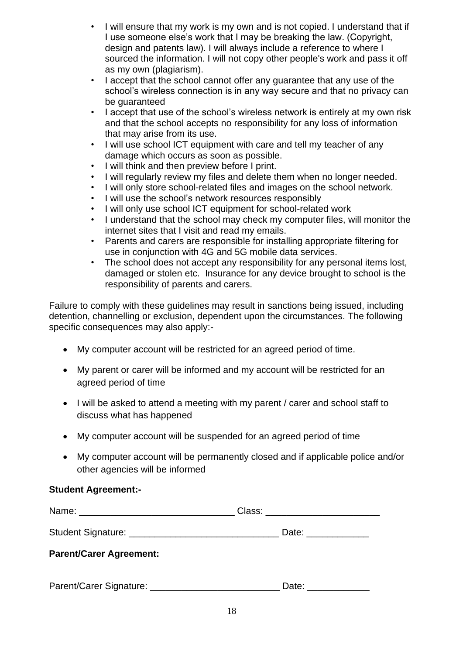- I will ensure that my work is my own and is not copied. I understand that if I use someone else's work that I may be breaking the law. (Copyright, design and patents law). I will always include a reference to where I sourced the information. I will not copy other people's work and pass it off as my own (plagiarism).
- I accept that the school cannot offer any guarantee that any use of the school's wireless connection is in any way secure and that no privacy can be guaranteed
- I accept that use of the school's wireless network is entirely at my own risk and that the school accepts no responsibility for any loss of information that may arise from its use.
- I will use school ICT equipment with care and tell my teacher of any damage which occurs as soon as possible.
- I will think and then preview before I print.
- I will regularly review my files and delete them when no longer needed.
- I will only store school-related files and images on the school network.
- I will use the school's network resources responsibly
- I will only use school ICT equipment for school-related work
- I understand that the school may check my computer files, will monitor the internet sites that I visit and read my emails.
- Parents and carers are responsible for installing appropriate filtering for use in conjunction with 4G and 5G mobile data services.
- The school does not accept any responsibility for any personal items lost, damaged or stolen etc. Insurance for any device brought to school is the responsibility of parents and carers.

Failure to comply with these guidelines may result in sanctions being issued, including detention, channelling or exclusion, dependent upon the circumstances. The following specific consequences may also apply:-

- My computer account will be restricted for an agreed period of time.
- My parent or carer will be informed and my account will be restricted for an agreed period of time
- I will be asked to attend a meeting with my parent / carer and school staff to discuss what has happened
- My computer account will be suspended for an agreed period of time
- My computer account will be permanently closed and if applicable police and/or other agencies will be informed

### **Student Agreement:-**

|                                | Class: _________________________ |
|--------------------------------|----------------------------------|
|                                | Date: _____________              |
| <b>Parent/Carer Agreement:</b> |                                  |
| Parent/Carer Signature:        | Date:                            |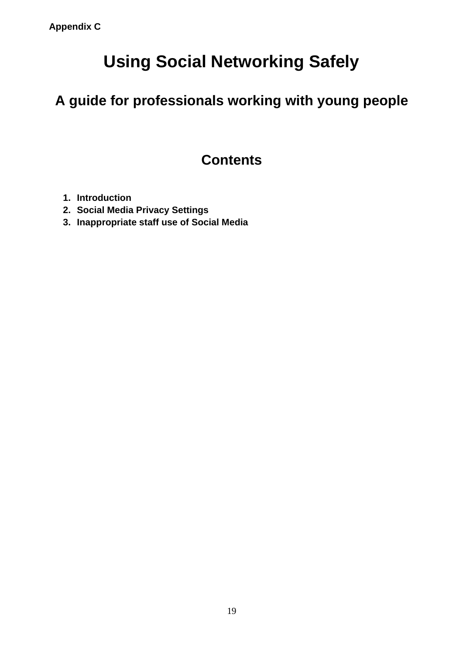# **Using Social Networking Safely**

**A guide for professionals working with young people**

## **Contents**

- **1. Introduction**
- **2. Social Media Privacy Settings**
- **3. Inappropriate staff use of Social Media**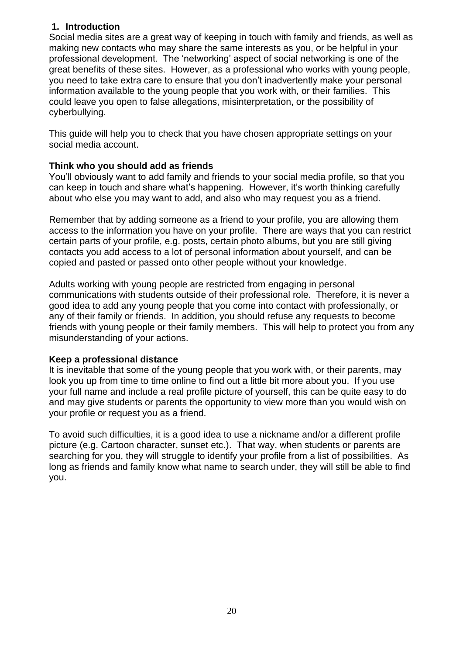## **1. Introduction**

Social media sites are a great way of keeping in touch with family and friends, as well as making new contacts who may share the same interests as you, or be helpful in your professional development. The 'networking' aspect of social networking is one of the great benefits of these sites. However, as a professional who works with young people, you need to take extra care to ensure that you don't inadvertently make your personal information available to the young people that you work with, or their families. This could leave you open to false allegations, misinterpretation, or the possibility of cyberbullying.

This guide will help you to check that you have chosen appropriate settings on your social media account.

## **Think who you should add as friends**

You'll obviously want to add family and friends to your social media profile, so that you can keep in touch and share what's happening. However, it's worth thinking carefully about who else you may want to add, and also who may request you as a friend.

Remember that by adding someone as a friend to your profile, you are allowing them access to the information you have on your profile. There are ways that you can restrict certain parts of your profile, e.g. posts, certain photo albums, but you are still giving contacts you add access to a lot of personal information about yourself, and can be copied and pasted or passed onto other people without your knowledge.

Adults working with young people are restricted from engaging in personal communications with students outside of their professional role. Therefore, it is never a good idea to add any young people that you come into contact with professionally, or any of their family or friends. In addition, you should refuse any requests to become friends with young people or their family members. This will help to protect you from any misunderstanding of your actions.

### **Keep a professional distance**

It is inevitable that some of the young people that you work with, or their parents, may look you up from time to time online to find out a little bit more about you. If you use your full name and include a real profile picture of yourself, this can be quite easy to do and may give students or parents the opportunity to view more than you would wish on your profile or request you as a friend.

To avoid such difficulties, it is a good idea to use a nickname and/or a different profile picture (e.g. Cartoon character, sunset etc.). That way, when students or parents are searching for you, they will struggle to identify your profile from a list of possibilities. As long as friends and family know what name to search under, they will still be able to find you.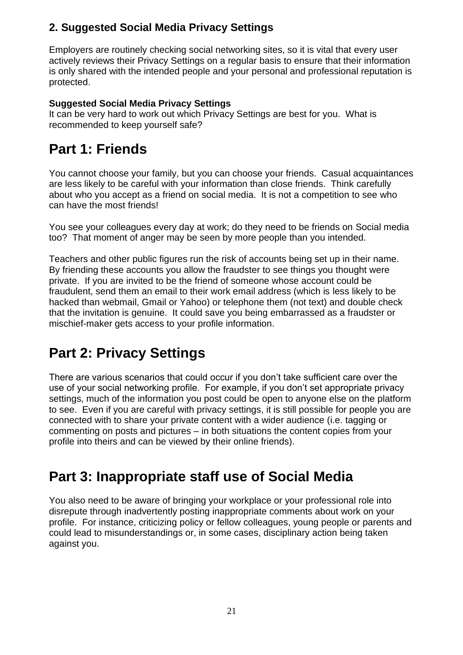## **2. Suggested Social Media Privacy Settings**

Employers are routinely checking social networking sites, so it is vital that every user actively reviews their Privacy Settings on a regular basis to ensure that their information is only shared with the intended people and your personal and professional reputation is protected.

## **Suggested Social Media Privacy Settings**

It can be very hard to work out which Privacy Settings are best for you. What is recommended to keep yourself safe?

## **Part 1: Friends**

You cannot choose your family, but you can choose your friends. Casual acquaintances are less likely to be careful with your information than close friends. Think carefully about who you accept as a friend on social media. It is not a competition to see who can have the most friends!

You see your colleagues every day at work; do they need to be friends on Social media too? That moment of anger may be seen by more people than you intended.

Teachers and other public figures run the risk of accounts being set up in their name. By friending these accounts you allow the fraudster to see things you thought were private. If you are invited to be the friend of someone whose account could be fraudulent, send them an email to their work email address (which is less likely to be hacked than webmail, Gmail or Yahoo) or telephone them (not text) and double check that the invitation is genuine. It could save you being embarrassed as a fraudster or mischief-maker gets access to your profile information.

## **Part 2: Privacy Settings**

There are various scenarios that could occur if you don't take sufficient care over the use of your social networking profile. For example, if you don't set appropriate privacy settings, much of the information you post could be open to anyone else on the platform to see. Even if you are careful with privacy settings, it is still possible for people you are connected with to share your private content with a wider audience (i.e. tagging or commenting on posts and pictures – in both situations the content copies from your profile into theirs and can be viewed by their online friends).

## **Part 3: Inappropriate staff use of Social Media**

You also need to be aware of bringing your workplace or your professional role into disrepute through inadvertently posting inappropriate comments about work on your profile. For instance, criticizing policy or fellow colleagues, young people or parents and could lead to misunderstandings or, in some cases, disciplinary action being taken against you.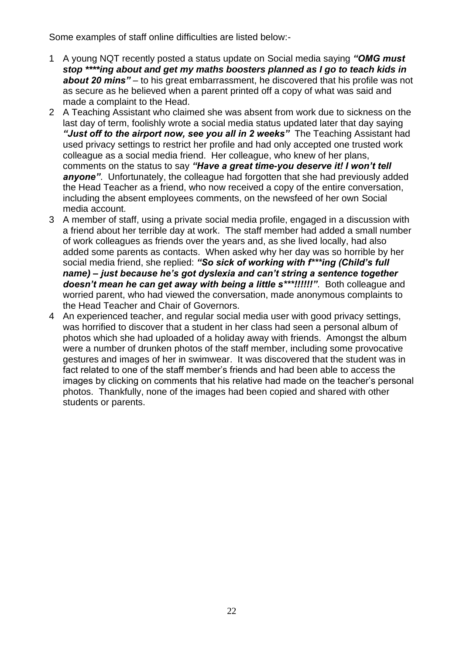Some examples of staff online difficulties are listed below:-

- 1 A young NQT recently posted a status update on Social media saying *"OMG must stop \*\*\*\*ing about and get my maths boosters planned as I go to teach kids in about 20 mins"* – to his great embarrassment, he discovered that his profile was not as secure as he believed when a parent printed off a copy of what was said and made a complaint to the Head.
- 2 A Teaching Assistant who claimed she was absent from work due to sickness on the last day of term, foolishly wrote a social media status updated later that day saying *"Just off to the airport now, see you all in 2 weeks"* The Teaching Assistant had used privacy settings to restrict her profile and had only accepted one trusted work colleague as a social media friend. Her colleague, who knew of her plans, comments on the status to say *"Have a great time-you deserve it! I won't tell anyone"*. Unfortunately, the colleague had forgotten that she had previously added the Head Teacher as a friend, who now received a copy of the entire conversation, including the absent employees comments, on the newsfeed of her own Social media account.
- 3 A member of staff, using a private social media profile, engaged in a discussion with a friend about her terrible day at work. The staff member had added a small number of work colleagues as friends over the years and, as she lived locally, had also added some parents as contacts. When asked why her day was so horrible by her social media friend, she replied: *"So sick of working with f\*\*\*ing (Child's full name) – just because he's got dyslexia and can't string a sentence together doesn't mean he can get away with being a little s\*\*\*!!!!!!"*. Both colleague and worried parent, who had viewed the conversation, made anonymous complaints to the Head Teacher and Chair of Governors.
- 4 An experienced teacher, and regular social media user with good privacy settings, was horrified to discover that a student in her class had seen a personal album of photos which she had uploaded of a holiday away with friends. Amongst the album were a number of drunken photos of the staff member, including some provocative gestures and images of her in swimwear. It was discovered that the student was in fact related to one of the staff member's friends and had been able to access the images by clicking on comments that his relative had made on the teacher's personal photos. Thankfully, none of the images had been copied and shared with other students or parents.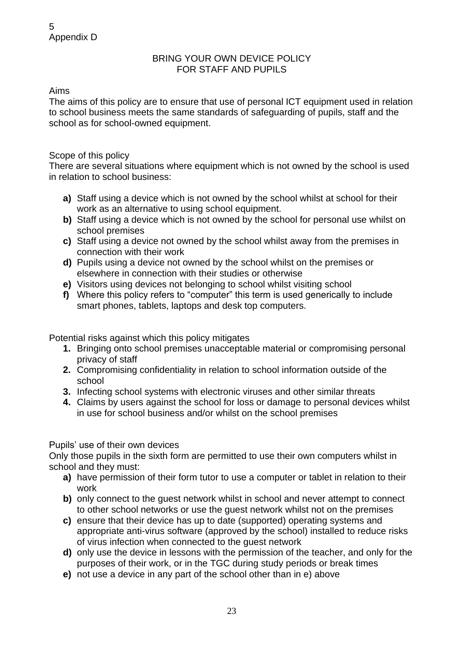## BRING YOUR OWN DEVICE POLICY FOR STAFF AND PUPILS

## Aims

The aims of this policy are to ensure that use of personal ICT equipment used in relation to school business meets the same standards of safeguarding of pupils, staff and the school as for school-owned equipment.

## Scope of this policy

There are several situations where equipment which is not owned by the school is used in relation to school business:

- **a)** Staff using a device which is not owned by the school whilst at school for their work as an alternative to using school equipment.
- **b)** Staff using a device which is not owned by the school for personal use whilst on school premises
- **c)** Staff using a device not owned by the school whilst away from the premises in connection with their work
- **d)** Pupils using a device not owned by the school whilst on the premises or elsewhere in connection with their studies or otherwise
- **e)** Visitors using devices not belonging to school whilst visiting school
- **f)** Where this policy refers to "computer" this term is used generically to include smart phones, tablets, laptops and desk top computers.

Potential risks against which this policy mitigates

- **1.** Bringing onto school premises unacceptable material or compromising personal privacy of staff
- **2.** Compromising confidentiality in relation to school information outside of the school
- **3.** Infecting school systems with electronic viruses and other similar threats
- **4.** Claims by users against the school for loss or damage to personal devices whilst in use for school business and/or whilst on the school premises

### Pupils' use of their own devices

Only those pupils in the sixth form are permitted to use their own computers whilst in school and they must:

- **a)** have permission of their form tutor to use a computer or tablet in relation to their work
- **b)** only connect to the guest network whilst in school and never attempt to connect to other school networks or use the guest network whilst not on the premises
- **c)** ensure that their device has up to date (supported) operating systems and appropriate anti-virus software (approved by the school) installed to reduce risks of virus infection when connected to the guest network
- **d)** only use the device in lessons with the permission of the teacher, and only for the purposes of their work, or in the TGC during study periods or break times
- **e)** not use a device in any part of the school other than in e) above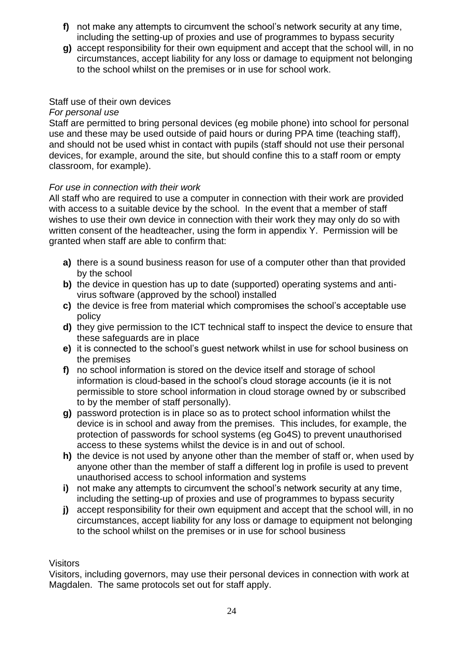- **f)** not make any attempts to circumvent the school's network security at any time, including the setting-up of proxies and use of programmes to bypass security
- **g)** accept responsibility for their own equipment and accept that the school will, in no circumstances, accept liability for any loss or damage to equipment not belonging to the school whilst on the premises or in use for school work.

## Staff use of their own devices

## *For personal use*

Staff are permitted to bring personal devices (eg mobile phone) into school for personal use and these may be used outside of paid hours or during PPA time (teaching staff), and should not be used whist in contact with pupils (staff should not use their personal devices, for example, around the site, but should confine this to a staff room or empty classroom, for example).

## *For use in connection with their work*

All staff who are required to use a computer in connection with their work are provided with access to a suitable device by the school. In the event that a member of staff wishes to use their own device in connection with their work they may only do so with written consent of the headteacher, using the form in appendix Y. Permission will be granted when staff are able to confirm that:

- **a)** there is a sound business reason for use of a computer other than that provided by the school
- **b)** the device in question has up to date (supported) operating systems and antivirus software (approved by the school) installed
- **c)** the device is free from material which compromises the school's acceptable use policy
- **d)** they give permission to the ICT technical staff to inspect the device to ensure that these safeguards are in place
- **e)** it is connected to the school's guest network whilst in use for school business on the premises
- **f)** no school information is stored on the device itself and storage of school information is cloud-based in the school's cloud storage accounts (ie it is not permissible to store school information in cloud storage owned by or subscribed to by the member of staff personally).
- **g)** password protection is in place so as to protect school information whilst the device is in school and away from the premises. This includes, for example, the protection of passwords for school systems (eg Go4S) to prevent unauthorised access to these systems whilst the device is in and out of school.
- **h)** the device is not used by anyone other than the member of staff or, when used by anyone other than the member of staff a different log in profile is used to prevent unauthorised access to school information and systems
- **i)** not make any attempts to circumvent the school's network security at any time, including the setting-up of proxies and use of programmes to bypass security
- **j)** accept responsibility for their own equipment and accept that the school will, in no circumstances, accept liability for any loss or damage to equipment not belonging to the school whilst on the premises or in use for school business

### Visitors

Visitors, including governors, may use their personal devices in connection with work at Magdalen. The same protocols set out for staff apply.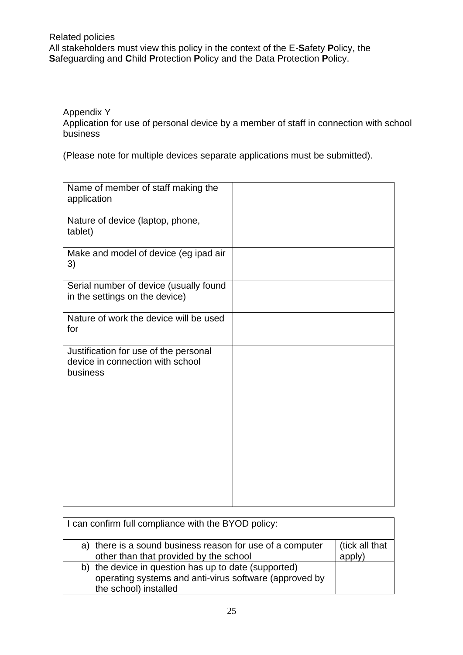## Related policies All stakeholders must view this policy in the context of the E-**S**afety **P**olicy, the **S**afeguarding and **C**hild **P**rotection **P**olicy and the Data Protection **P**olicy.

Appendix Y

Application for use of personal device by a member of staff in connection with school business

(Please note for multiple devices separate applications must be submitted).

| Name of member of staff making the<br>application                                     |  |
|---------------------------------------------------------------------------------------|--|
| Nature of device (laptop, phone,<br>tablet)                                           |  |
| Make and model of device (eg ipad air<br>3)                                           |  |
| Serial number of device (usually found<br>in the settings on the device)              |  |
| Nature of work the device will be used<br>for                                         |  |
| Justification for use of the personal<br>device in connection with school<br>business |  |

| I can confirm full compliance with the BYOD policy:                                                                                     |                          |
|-----------------------------------------------------------------------------------------------------------------------------------------|--------------------------|
| a) there is a sound business reason for use of a computer<br>other than that provided by the school                                     | (tick all that<br>apply) |
| b) the device in question has up to date (supported)<br>operating systems and anti-virus software (approved by<br>the school) installed |                          |